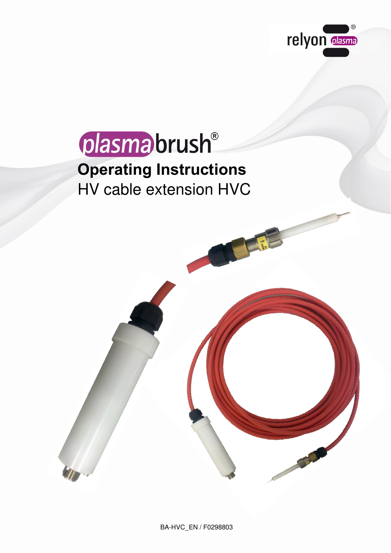



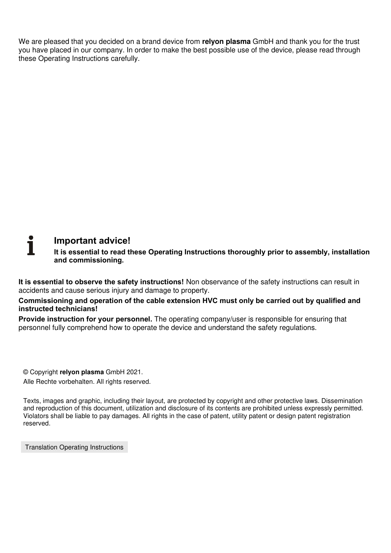We are pleased that you decided on a brand device from **relyon plasma** GmbH and thank you for the trust you have placed in our company. In order to make the best possible use of the device, please read through these Operating Instructions carefully.

# i **Important advice!**

**It is essential to read these Operating Instructions thoroughly prior to assembly, installation and commissioning.** 

**It is essential to observe the safety instructions!** Non observance of the safety instructions can result in accidents and cause serious injury and damage to property.

**Commissioning and operation of the cable extension HVC must only be carried out by qualified and instructed technicians!** 

**Provide instruction for your personnel.** The operating company/user is responsible for ensuring that personnel fully comprehend how to operate the device and understand the safety regulations.

© Copyright **relyon plasma** GmbH 2021.

Alle Rechte vorbehalten. All rights reserved.

Texts, images and graphic, including their layout, are protected by copyright and other protective laws. Dissemination and reproduction of this document, utilization and disclosure of its contents are prohibited unless expressly permitted. Violators shall be liable to pay damages. All rights in the case of patent, utility patent or design patent registration reserved.

Translation Operating Instructions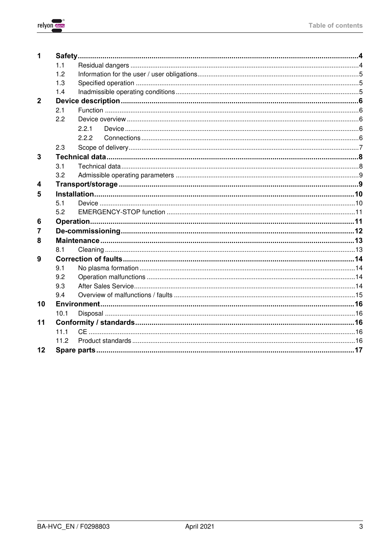

| 1              |      |       |  |
|----------------|------|-------|--|
|                | 1.1  |       |  |
|                | 1.2  |       |  |
|                | 1.3  |       |  |
|                | 1.4  |       |  |
| $\overline{2}$ |      |       |  |
|                | 2.1  |       |  |
|                | 2.2  |       |  |
|                |      | 2.2.1 |  |
|                |      | 2.2.2 |  |
|                | 2.3  |       |  |
| 3              |      |       |  |
|                | 3.1  |       |  |
|                | 3.2  |       |  |
| 4              |      |       |  |
| 5              |      |       |  |
|                | 5.1  |       |  |
|                | 5.2  |       |  |
| 6              |      |       |  |
| 7              |      |       |  |
| 8              |      |       |  |
|                | 8.1  |       |  |
| 9              |      |       |  |
|                | 9.1  |       |  |
|                | 9.2  |       |  |
|                | 9.3  |       |  |
|                | 9.4  |       |  |
| 10             |      |       |  |
|                | 10.1 |       |  |
| 11             |      |       |  |
|                | 11.1 |       |  |
|                | 11.2 |       |  |
| 12             |      |       |  |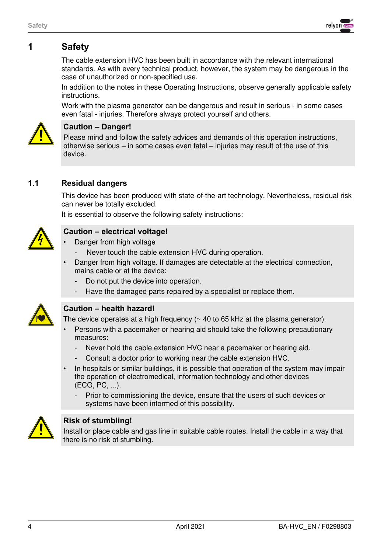<span id="page-3-0"></span>

The cable extension HVC has been built in accordance with the relevant international standards. As with every technical product, however, the system may be dangerous in the case of unauthorized or non-specified use.

In addition to the notes in these Operating Instructions, observe generally applicable safety instructions.

Work with the plasma generator can be dangerous and result in serious - in some cases even fatal - injuries. Therefore always protect yourself and others.



#### **Caution – Danger!**

Please mind and follow the safety advices and demands of this operation instructions, otherwise serious – in some cases even fatal – injuries may result of the use of this device.

# <span id="page-3-1"></span>**1.1 Residual dangers**

This device has been produced with state-of-the-art technology. Nevertheless, residual risk can never be totally excluded.

It is essential to observe the following safety instructions:



# **Caution – electrical voltage!**

- Danger from high voltage
- Never touch the cable extension HVC during operation.
- Danger from high voltage. If damages are detectable at the electrical connection, mains cable or at the device:
	- Do not put the device into operation.
	- Have the damaged parts repaired by a specialist or replace them.



#### **Caution – health hazard!**

The device operates at a high frequency (~ 40 to 65 kHz at the plasma generator).

- Persons with a pacemaker or hearing aid should take the following precautionary measures:
	- Never hold the cable extension HVC near a pacemaker or hearing aid.
	- Consult a doctor prior to working near the cable extension HVC.
- In hospitals or similar buildings, it is possible that operation of the system may impair the operation of electromedical, information technology and other devices (ECG, PC, ...).
	- Prior to commissioning the device, ensure that the users of such devices or systems have been informed of this possibility.



### **Risk of stumbling!**

Install or place cable and gas line in suitable cable routes. Install the cable in a way that there is no risk of stumbling.

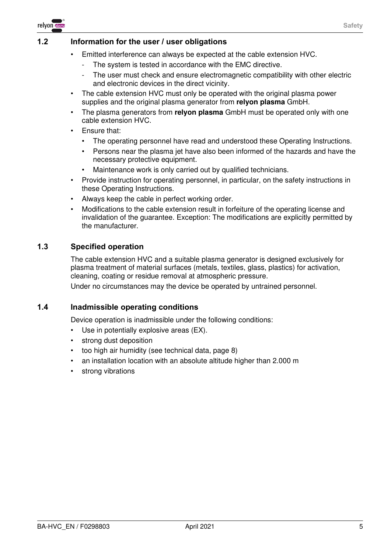

### <span id="page-4-0"></span>**1.2 Information for the user / user obligations**

- Emitted interference can always be expected at the cable extension HVC.
	- The system is tested in accordance with the EMC directive.
	- The user must check and ensure electromagnetic compatibility with other electric and electronic devices in the direct vicinity.
- The cable extension HVC must only be operated with the original plasma power supplies and the original plasma generator from **relyon plasma** GmbH.
- The plasma generators from **relyon plasma** GmbH must be operated only with one cable extension HVC.
- Ensure that:
	- The operating personnel have read and understood these Operating Instructions.
	- Persons near the plasma jet have also been informed of the hazards and have the necessary protective equipment.
	- Maintenance work is only carried out by qualified technicians.
- Provide instruction for operating personnel, in particular, on the safety instructions in these Operating Instructions.
- Always keep the cable in perfect working order.
- Modifications to the cable extension result in forfeiture of the operating license and invalidation of the guarantee. Exception: The modifications are explicitly permitted by the manufacturer.

# <span id="page-4-1"></span>**1.3 Specified operation**

The cable extension HVC and a suitable plasma generator is designed exclusively for plasma treatment of material surfaces (metals, textiles, glass, plastics) for activation, cleaning, coating or residue removal at atmospheric pressure.

Under no circumstances may the device be operated by untrained personnel.

#### <span id="page-4-2"></span>**1.4 Inadmissible operating conditions**

Device operation is inadmissible under the following conditions:

- Use in potentially explosive areas (EX).
- strong dust deposition
- too high air humidity (see technical data, page [8\)](#page-7-0)
- an installation location with an absolute altitude higher than 2.000 m
- strong vibrations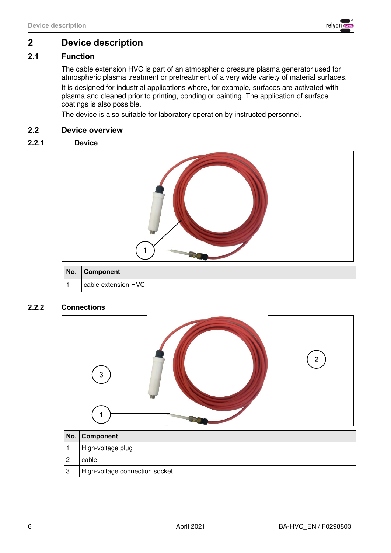

# <span id="page-5-0"></span>**2 Device description**

# <span id="page-5-1"></span>**2.1 Function**

The cable extension HVC is part of an atmospheric pressure plasma generator used for atmospheric plasma treatment or pretreatment of a very wide variety of material surfaces. It is designed for industrial applications where, for example, surfaces are activated with plasma and cleaned prior to printing, bonding or painting. The application of surface coatings is also possible.

The device is also suitable for laboratory operation by instructed personnel.

### <span id="page-5-2"></span>**2.2 Device overview**

#### **2.2.1 Device**

<span id="page-5-3"></span>

### <span id="page-5-4"></span>**2.2.2 Connections**



| No. | Component                      |  |
|-----|--------------------------------|--|
|     | High-voltage plug              |  |
|     | cable                          |  |
|     | High-voltage connection socket |  |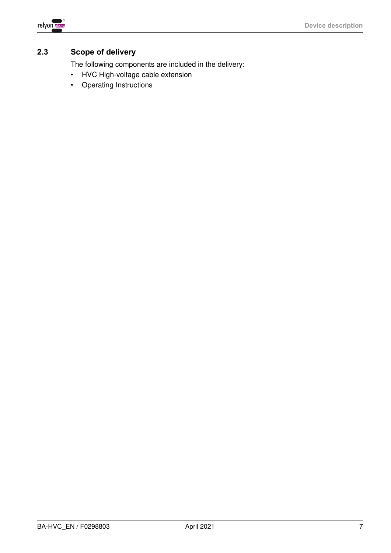

# <span id="page-6-0"></span>**2.3 Scope of delivery**

The following components are included in the delivery:

- HVC High-voltage cable extension
- Operating Instructions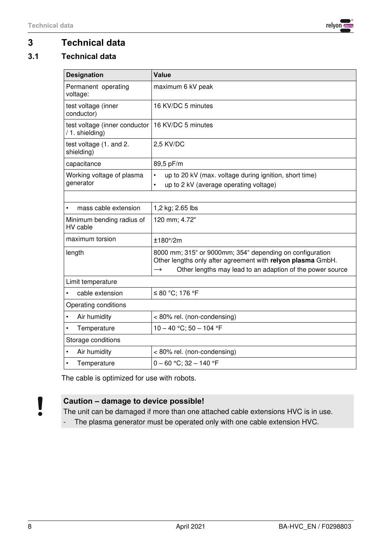

# <span id="page-7-0"></span>**3 Technical data**

# <span id="page-7-1"></span>**3.1 Technical data**

| <b>Designation</b>                               | <b>Value</b>                                                                                                                                                                                          |  |  |
|--------------------------------------------------|-------------------------------------------------------------------------------------------------------------------------------------------------------------------------------------------------------|--|--|
| Permanent operating<br>voltage:                  | maximum 6 kV peak                                                                                                                                                                                     |  |  |
| test voltage (inner<br>conductor)                | 16 KV/DC 5 minutes                                                                                                                                                                                    |  |  |
| test voltage (inner conductor<br>/ 1. shielding) | 16 KV/DC 5 minutes                                                                                                                                                                                    |  |  |
| test voltage (1. and 2.<br>shielding)            | 2,5 KV/DC                                                                                                                                                                                             |  |  |
| capacitance                                      | 89,5 pF/m                                                                                                                                                                                             |  |  |
| Working voltage of plasma<br>generator           | up to 20 kV (max. voltage during ignition, short time)<br>$\bullet$<br>up to 2 kV (average operating voltage)<br>$\bullet$                                                                            |  |  |
|                                                  |                                                                                                                                                                                                       |  |  |
| mass cable extension<br>$\bullet$                | 1,2 kg; 2.65 lbs                                                                                                                                                                                      |  |  |
| Minimum bending radius of<br>HV cable            | 120 mm; 4.72"                                                                                                                                                                                         |  |  |
| maximum torsion                                  | $±180^{\circ}/2m$                                                                                                                                                                                     |  |  |
| length                                           | 8000 mm; 315" or 9000mm; 354" depending on configuration<br>Other lengths only after agreement with relyon plasma GmbH.<br>Other lengths may lead to an adaption of the power source<br>$\rightarrow$ |  |  |
| Limit temperature                                |                                                                                                                                                                                                       |  |  |
| cable extension                                  | ≤ 80 °C; 176 °F                                                                                                                                                                                       |  |  |
| Operating conditions                             |                                                                                                                                                                                                       |  |  |
| Air humidity<br>$\bullet$                        | < 80% rel. (non-condensing)                                                                                                                                                                           |  |  |
| Temperature<br>$\bullet$                         | $10 - 40$ °C; 50 - 104 °F                                                                                                                                                                             |  |  |
| Storage conditions                               |                                                                                                                                                                                                       |  |  |
| Air humidity<br>$\bullet$                        | < 80% rel. (non-condensing)                                                                                                                                                                           |  |  |
| Temperature<br>$\bullet$                         | $0 - 60$ °C; 32 - 140 °F                                                                                                                                                                              |  |  |

The cable is optimized for use with robots.

# **Caution – damage to device possible!**

The unit can be damaged if more than one attached cable extensions HVC is in use.

- The plasma generator must be operated only with one cable extension HVC.

V Ă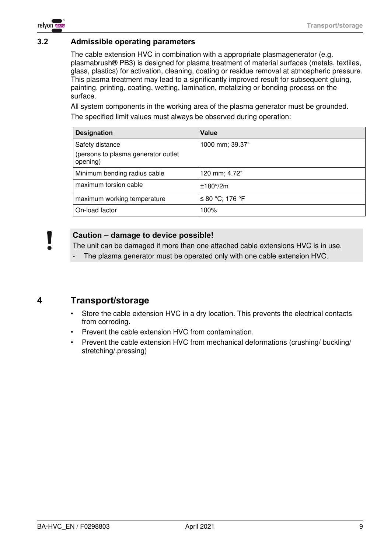

### <span id="page-8-0"></span>**3.2 Admissible operating parameters**

The cable extension HVC in combination with a appropriate plasmagenerator (e.g. plasmabrush® PB3) is designed for plasma treatment of material surfaces (metals, textiles, glass, plastics) for activation, cleaning, coating or residue removal at atmospheric pressure. This plasma treatment may lead to a significantly improved result for subsequent gluing, painting, printing, coating, wetting, lamination, metalizing or bonding process on the surface.

All system components in the working area of the plasma generator must be grounded. The specified limit values must always be observed during operation:

| <b>Designation</b>                                                 | Value             |
|--------------------------------------------------------------------|-------------------|
| Safety distance<br>(persons to plasma generator outlet<br>opening) | 1000 mm; 39.37"   |
| Minimum bending radius cable                                       | 120 mm; 4.72"     |
| maximum torsion cable                                              | $±180^{\circ}/2m$ |
| maximum working temperature                                        | ≤ 80 °C; 176 °F   |
| On-load factor                                                     | 100%              |

### **Caution – damage to device possible!**

The unit can be damaged if more than one attached cable extensions HVC is in use.

The plasma generator must be operated only with one cable extension HVC.

# <span id="page-8-1"></span>**4 Transport/storage**

- Store the cable extension HVC in a dry location. This prevents the electrical contacts from corroding.
- Prevent the cable extension HVC from contamination.
- Prevent the cable extension HVC from mechanical deformations (crushing/ buckling/ stretching/.pressing)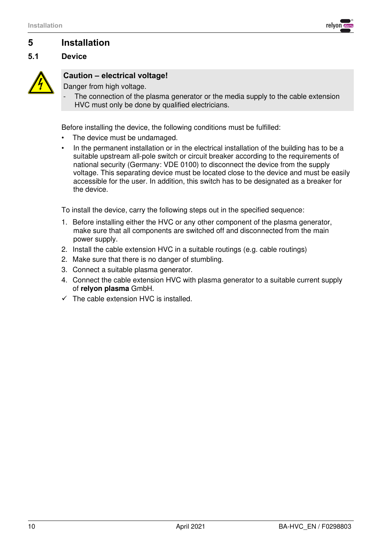

# <span id="page-9-0"></span>**5 Installation**

# <span id="page-9-1"></span>**5.1 Device**



# **Caution – electrical voltage!**

Danger from high voltage.

The connection of the plasma generator or the media supply to the cable extension HVC must only be done by qualified electricians.

Before installing the device, the following conditions must be fulfilled:

- The device must be undamaged.
- In the permanent installation or in the electrical installation of the building has to be a suitable upstream all-pole switch or circuit breaker according to the requirements of national security (Germany: VDE 0100) to disconnect the device from the supply voltage. This separating device must be located close to the device and must be easily accessible for the user. In addition, this switch has to be designated as a breaker for the device.

To install the device, carry the following steps out in the specified sequence:

- 1. Before installing either the HVC or any other component of the plasma generator, make sure that all components are switched off and disconnected from the main power supply.
- 2. Install the cable extension HVC in a suitable routings (e.g. cable routings)
- 2. Make sure that there is no danger of stumbling.
- 3. Connect a suitable plasma generator.
- 4. Connect the cable extension HVC with plasma generator to a suitable current supply of **relyon plasma** GmbH.
- $\checkmark$  The cable extension HVC is installed.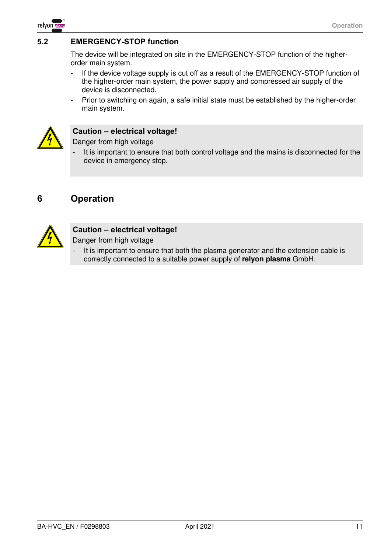

# <span id="page-10-0"></span>**5.2 EMERGENCY-STOP function**

The device will be integrated on site in the EMERGENCY-STOP function of the higherorder main system.

- If the device voltage supply is cut off as a result of the EMERGENCY-STOP function of the higher-order main system, the power supply and compressed air supply of the device is disconnected.
- Prior to switching on again, a safe initial state must be established by the higher-order main system.



#### **Caution – electrical voltage!**

Danger from high voltage

It is important to ensure that both control voltage and the mains is disconnected for the device in emergency stop.

# <span id="page-10-1"></span>**6 Operation**



### **Caution – electrical voltage!**

- Danger from high voltage
- It is important to ensure that both the plasma generator and the extension cable is correctly connected to a suitable power supply of **relyon plasma** GmbH.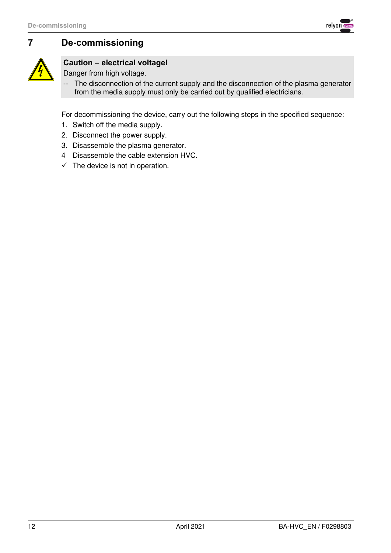



# <span id="page-11-0"></span>**7 De-commissioning**

# **Caution – electrical voltage!**

Danger from high voltage.

-- The disconnection of the current supply and the disconnection of the plasma generator from the media supply must only be carried out by qualified electricians.

For decommissioning the device, carry out the following steps in the specified sequence:

- 1. Switch off the media supply.
- 2. Disconnect the power supply.
- 3. Disassemble the plasma generator.
- 4 Disassemble the cable extension HVC.
- $\checkmark$  The device is not in operation.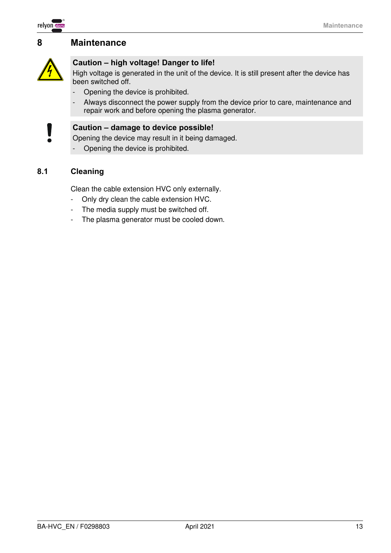

# <span id="page-12-0"></span>**8 Maintenance**



# **Caution – high voltage! Danger to life!**

High voltage is generated in the unit of the device. It is still present after the device has been switched off.

- Opening the device is prohibited.
- Always disconnect the power supply from the device prior to care, maintenance and repair work and before opening the plasma generator.



### **Caution – damage to device possible!**

Opening the device may result in it being damaged.

- Opening the device is prohibited.

### <span id="page-12-1"></span>**8.1 Cleaning**

Clean the cable extension HVC only externally.

- Only dry clean the cable extension HVC.
- The media supply must be switched off.
- The plasma generator must be cooled down.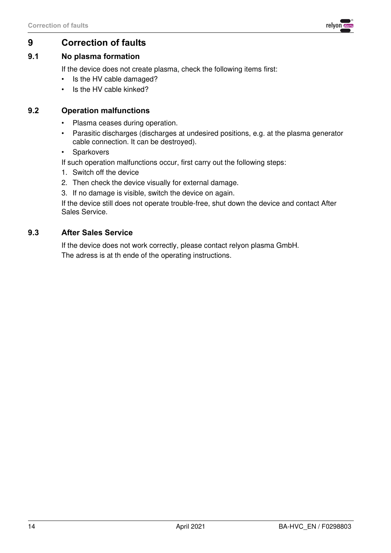

# <span id="page-13-0"></span>**9 Correction of faults**

## <span id="page-13-1"></span>**9.1 No plasma formation**

If the device does not create plasma, check the following items first:

- Is the HV cable damaged?
- Is the HV cable kinked?

# <span id="page-13-2"></span>**9.2 Operation malfunctions**

- Plasma ceases during operation.
- Parasitic discharges (discharges at undesired positions, e.g. at the plasma generator cable connection. It can be destroyed).
- Sparkovers

If such operation malfunctions occur, first carry out the following steps:

- 1. Switch off the device
- 2. Then check the device visually for external damage.
- 3. If no damage is visible, switch the device on again.

If the device still does not operate trouble-free, shut down the device and contact After Sales Service.

### <span id="page-13-3"></span>**9.3 After Sales Service**

If the device does not work correctly, please contact relyon plasma GmbH. The adress is at th ende of the operating instructions.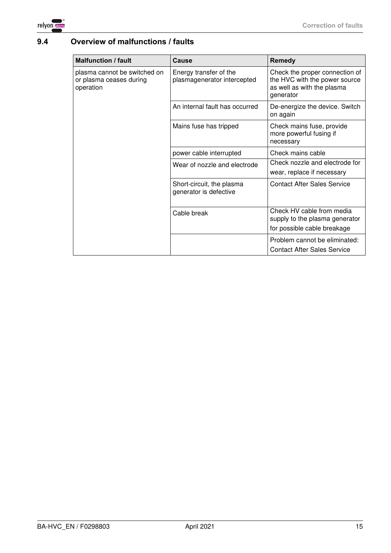

# <span id="page-14-0"></span>**9.4 Overview of malfunctions / faults**

| <b>Malfunction / fault</b>                                           | Cause                                                 | <b>Remedy</b>                                                                                              |
|----------------------------------------------------------------------|-------------------------------------------------------|------------------------------------------------------------------------------------------------------------|
| plasma cannot be switched on<br>or plasma ceases during<br>operation | Energy transfer of the<br>plasmagenerator intercepted | Check the proper connection of<br>the HVC with the power source<br>as well as with the plasma<br>generator |
|                                                                      | An internal fault has occurred                        | De-energize the device. Switch<br>on again                                                                 |
|                                                                      | Mains fuse has tripped                                | Check mains fuse, provide<br>more powerful fusing if<br>necessary                                          |
|                                                                      | power cable interrupted                               | Check mains cable                                                                                          |
|                                                                      | Wear of nozzle and electrode                          | Check nozzle and electrode for<br>wear, replace if necessary                                               |
|                                                                      | Short-circuit, the plasma<br>generator is defective   | <b>Contact After Sales Service</b>                                                                         |
|                                                                      | Cable break                                           | Check HV cable from media<br>supply to the plasma generator<br>for possible cable breakage                 |
|                                                                      |                                                       | Problem cannot be eliminated:<br><b>Contact After Sales Service</b>                                        |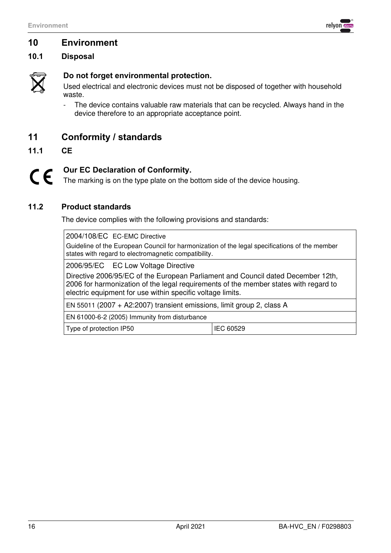

# <span id="page-15-0"></span>**10 Environment**

# <span id="page-15-1"></span>**10.1 Disposal**



# **Do not forget environmental protection.**

Used electrical and electronic devices must not be disposed of together with household waste.

- The device contains valuable raw materials that can be recycled. Always hand in the device therefore to an appropriate acceptance point.

# <span id="page-15-2"></span>**11 Conformity / standards**

<span id="page-15-3"></span>**11.1 CE**

#### **Our EC Declaration of Conformity.**   $C\epsilon$

The marking is on the type plate on the bottom side of the device housing.

#### <span id="page-15-4"></span>**11.2 Product standards**

The device complies with the following provisions and standards:

2004/108/EC EC-EMC Directive

Guideline of the European Council for harmonization of the legal specifications of the member states with regard to electromagnetic compatibility.

2006/95/EC EC Low Voltage Directive

Directive 2006/95/EC of the European Parliament and Council dated December 12th, 2006 for harmonization of the legal requirements of the member states with regard to electric equipment for use within specific voltage limits.

EN 55011 (2007 + A2:2007) transient emissions, limit group 2, class A

EN 61000-6-2 (2005) Immunity from disturbance

Type of protection IP50 **IEC 60529**